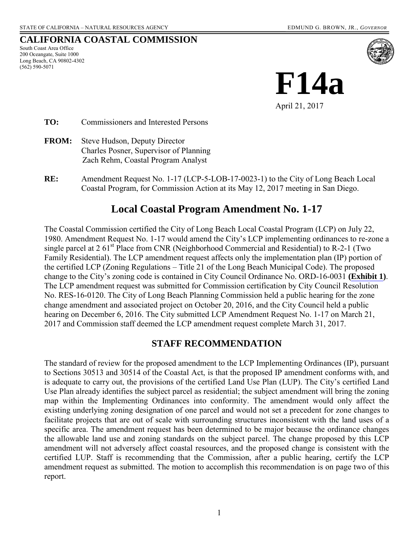#### **CALIFORNIA COASTAL COMMISSION**

South Coast Area Office 200 Oceangate, Suite 1000 Long Beach, CA 90802-4302 (562) 590-5071



**TO:** Commissioners and Interested Persons

- **FROM:** Steve Hudson, Deputy Director Charles Posner, Supervisor of Planning Zach Rehm, Coastal Program Analyst
- **RE:** Amendment Request No. 1-17 (LCP-5-LOB-17-0023-1) to the City of Long Beach Local Coastal Program, for Commission Action at its May 12, 2017 meeting in San Diego.

# **Local Coastal Program Amendment No. 1-17**

The Coastal Commission certified the City of Long Beach Local Coastal Program (LCP) on July 22, 1980. Amendment Request No. 1-17 would amend the City's LCP implementing ordinances to re-zone a single parcel at 2  $61<sup>st</sup>$  Place from CNR (Neighborhood Commercial and Residential) to R-2-1 (Two Family Residential). The LCP amendment request affects only the implementation plan (IP) portion of the certified LCP (Zoning Regulations – Title 21 of the Long Beach Municipal Code). The proposed change to the City's zoning code is contained in City Council Ordinance No. ORD-16-0031 **[\(Exhibit 1](https://documents.coastal.ca.gov/reports/2017/5/f14a/f14a-5-2017-exhibits.pdf))**. The LCP amendment request was submitted for Commission certification by City Council Resolution No. RES-16-0120. The City of Long Beach Planning Commission held a public hearing for the zone change amendment and associated project on October 20, 2016, and the City Council held a public hearing on December 6, 2016. The City submitted LCP Amendment Request No. 1-17 on March 21, 2017 and Commission staff deemed the LCP amendment request complete March 31, 2017.

### **STAFF RECOMMENDATION**

The standard of review for the proposed amendment to the LCP Implementing Ordinances (IP), pursuant to Sections 30513 and 30514 of the Coastal Act, is that the proposed IP amendment conforms with, and is adequate to carry out, the provisions of the certified Land Use Plan (LUP). The City's certified Land Use Plan already identifies the subject parcel as residential; the subject amendment will bring the zoning map within the Implementing Ordinances into conformity. The amendment would only affect the existing underlying zoning designation of one parcel and would not set a precedent for zone changes to facilitate projects that are out of scale with surrounding structures inconsistent with the land uses of a specific area. The amendment request has been determined to be major because the ordinance changes the allowable land use and zoning standards on the subject parcel. The change proposed by this LCP amendment will not adversely affect coastal resources, and the proposed change is consistent with the certified LUP. Staff is recommending that the Commission, after a public hearing, certify the LCP amendment request as submitted. The motion to accomplish this recommendation is on page two of this report.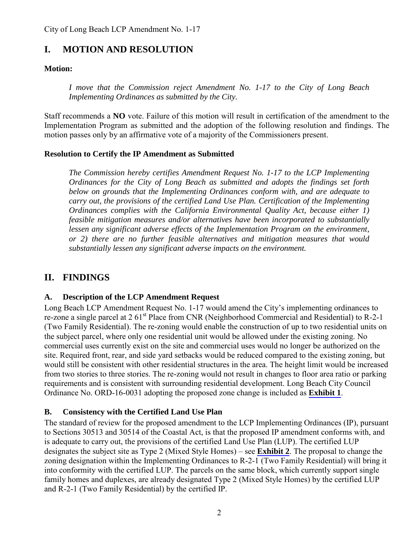# **I. MOTION AND RESOLUTION**

### **Motion:**

*I move that the Commission reject Amendment No. 1-17 to the City of Long Beach Implementing Ordinances as submitted by the City.* 

Staff recommends a **NO** vote. Failure of this motion will result in certification of the amendment to the Implementation Program as submitted and the adoption of the following resolution and findings. The motion passes only by an affirmative vote of a majority of the Commissioners present.

#### **Resolution to Certify the IP Amendment as Submitted**

*The Commission hereby certifies Amendment Request No. 1-17 to the LCP Implementing Ordinances for the City of Long Beach as submitted and adopts the findings set forth below on grounds that the Implementing Ordinances conform with, and are adequate to carry out, the provisions of the certified Land Use Plan. Certification of the Implementing Ordinances complies with the California Environmental Quality Act, because either 1) feasible mitigation measures and/or alternatives have been incorporated to substantially lessen any significant adverse effects of the Implementation Program on the environment, or 2) there are no further feasible alternatives and mitigation measures that would substantially lessen any significant adverse impacts on the environment.* 

## **II. FINDINGS**

### **A. Description of the LCP Amendment Request**

Long Beach LCP Amendment Request No. 1-17 would amend the City's implementing ordinances to re-zone a single parcel at 2 61<sup>st</sup> Place from CNR (Neighborhood Commercial and Residential) to R-2-1 (Two Family Residential). The re-zoning would enable the construction of up to two residential units on the subject parcel, where only one residential unit would be allowed under the existing zoning. No commercial uses currently exist on the site and commercial uses would no longer be authorized on the site. Required front, rear, and side yard setbacks would be reduced compared to the existing zoning, but would still be consistent with other residential structures in the area. The height limit would be increased from two stories to three stories. The re-zoning would not result in changes to floor area ratio or parking requirements and is consistent with surrounding residential development. Long Beach City Council Ordinance No. ORD-16-0031 adopting the proposed zone change is included as **[Exhibit 1](https://documents.coastal.ca.gov/reports/2017/5/f14a/f14a-5-2017-exhibits.pdf)**.

### **B. Consistency with the Certified Land Use Plan**

The standard of review for the proposed amendment to the LCP Implementing Ordinances (IP), pursuant to Sections 30513 and 30514 of the Coastal Act, is that the proposed IP amendment conforms with, and is adequate to carry out, the provisions of the certified Land Use Plan (LUP). The certified LUP designates the subject site as Type 2 (Mixed Style Homes) – see **[Exhibit 2](https://documents.coastal.ca.gov/reports/2017/5/f14a/f14a-5-2017-exhibits.pdf)**. The proposal to change the zoning designation within the Implementing Ordinances to R-2-1 (Two Family Residential) will bring it into conformity with the certified LUP. The parcels on the same block, which currently support single family homes and duplexes, are already designated Type 2 (Mixed Style Homes) by the certified LUP and R-2-1 (Two Family Residential) by the certified IP.